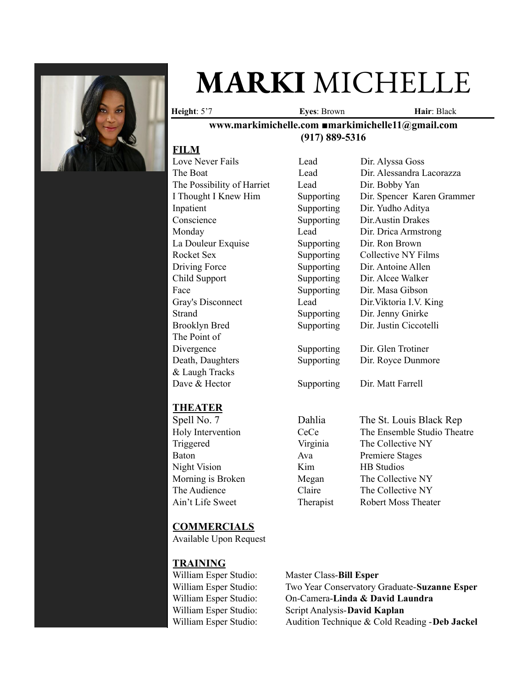

# **MARKI** MICHELLE

**Height**: 5'7 **Eyes**: Brown **Hair**: Black

### **www.markimichelle.com** ■**markimichelle11@gmail.com (917) 889-5316**

#### **FILM**

The Boat Lead Dir. Alessandra Lacorazza The Possibility of Harriet Lead Dir. Bobby Yan I Thought I Knew Him Supporting Dir. Spencer Karen Grammer Inpatient Supporting Dir. Yudho Aditya Conscience Supporting Dir.Austin Drakes Monday Lead Dir. Drica Armstrong La Douleur Exquise Supporting Dir. Ron Brown Rocket Sex Supporting Collective NY Films Driving Force Supporting Dir. Antoine Allen Child Support Supporting Dir. Alcee Walker Face Supporting Dir. Masa Gibson Gray's Disconnect Lead Dir.Viktoria I.V. King Strand Supporting Dir. Jenny Gnirke Brooklyn Bred Supporting Dir. Justin Ciccotelli The Point of Divergence Supporting Dir. Glen Trotiner Death, Daughters Supporting Dir. Royce Dunmore & Laugh Tracks Dave & Hector Supporting Dir. Matt Farrell

# **THEATER**

Baton Ava Premiere Stages Night Vision Kim HB Studios Ain't Life Sweet Therapist Robert Moss Theater

Love Never Fails Lead Dir. Alyssa Goss

Spell No. 7 **Dahlia** The St. Louis Black Rep Holy Intervention CeCe The Ensemble Studio Theatre Triggered Virginia The Collective NY Morning is Broken Megan The Collective NY The Audience Claire The Collective NY

## **COMMERCIALS**

Available Upon Request

## **TRAINING**

William Esper Studio: Master Class-**Bill Esper** William Esper Studio: Two Year Conservatory Graduate-**Suzanne Esper** William Esper Studio: On-Camera-**Linda & David Laundra** William Esper Studio: Script Analysis-**David Kaplan** William Esper Studio: Audition Technique & Cold Reading -**Deb Jackel**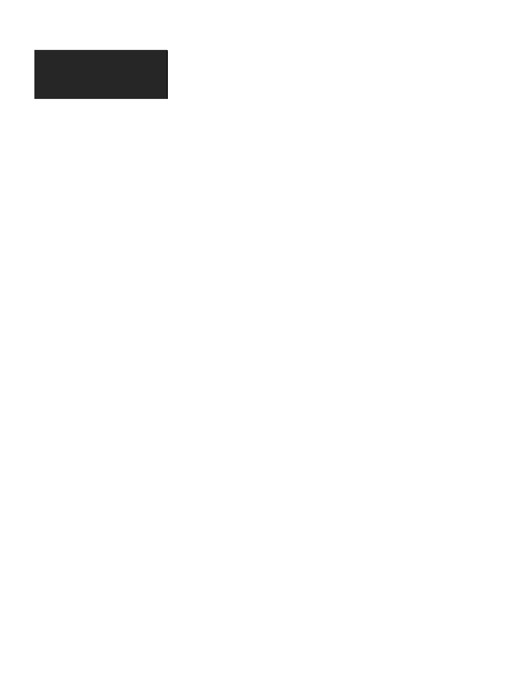